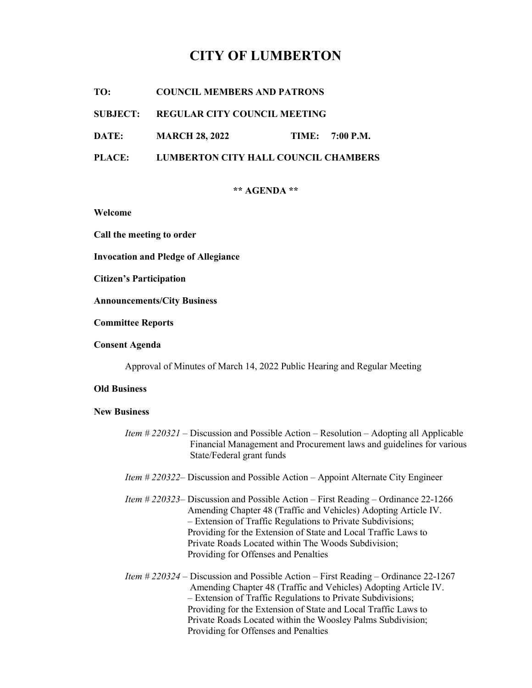# CITY OF LUMBERTON

TO: COUNCIL MEMBERS AND PATRONS

SUBJECT: REGULAR CITY COUNCIL MEETING

DATE: MARCH 28, 2022 TIME: 7:00 P.M.

PLACE: LUMBERTON CITY HALL COUNCIL CHAMBERS

# \*\* AGENDA \*\*

Welcome

Call the meeting to order

Invocation and Pledge of Allegiance

Citizen's Participation

Announcements/City Business

Committee Reports

Consent Agenda

Approval of Minutes of March 14, 2022 Public Hearing and Regular Meeting

#### Old Business

#### New Business

- Item # 220321 Discussion and Possible Action Resolution Adopting all Applicable Financial Management and Procurement laws and guidelines for various State/Federal grant funds
- Item # 220322– Discussion and Possible Action Appoint Alternate City Engineer
- Item # 220323– Discussion and Possible Action First Reading Ordinance 22-1266 Amending Chapter 48 (Traffic and Vehicles) Adopting Article IV. – Extension of Traffic Regulations to Private Subdivisions; Providing for the Extension of State and Local Traffic Laws to Private Roads Located within The Woods Subdivision; Providing for Offenses and Penalties
- Item # 220324 Discussion and Possible Action First Reading Ordinance 22-1267 Amending Chapter 48 (Traffic and Vehicles) Adopting Article IV. – Extension of Traffic Regulations to Private Subdivisions; Providing for the Extension of State and Local Traffic Laws to Private Roads Located within the Woosley Palms Subdivision; Providing for Offenses and Penalties